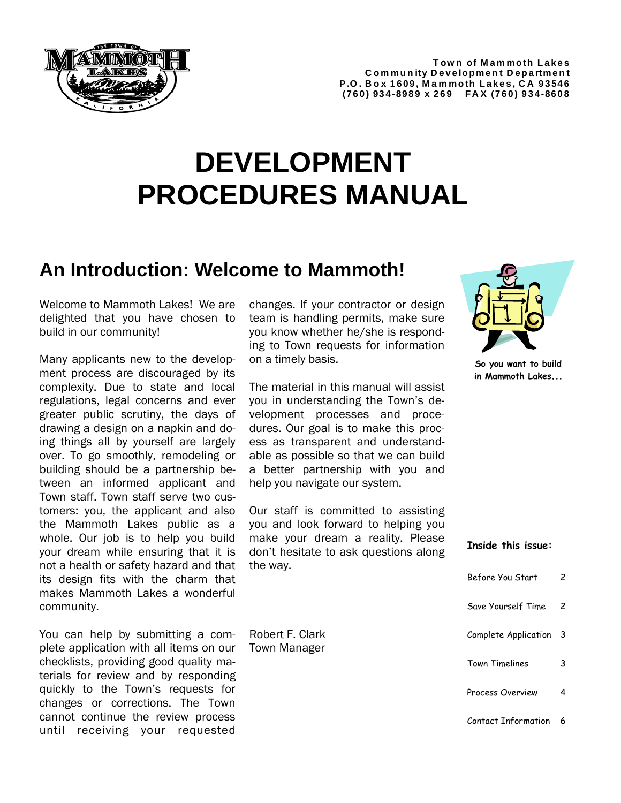

#### **Town of Mammoth Lakes C om mu n ity D evelopmen t D epartmen t P.O . B o x 1609, M a m moth Lakes, C A 93546 (760) 934-8989 x 269 FAX (760) 934-8608**

# **DEVELOPMENT PROCEDURES MANUAL**

### **An Introduction: Welcome to Mammoth!**

Welcome to Mammoth Lakes! We are delighted that you have chosen to build in our community!

Many applicants new to the development process are discouraged by its complexity. Due to state and local regulations, legal concerns and ever greater public scrutiny, the days of drawing a design on a napkin and doing things all by yourself are largely over. To go smoothly, remodeling or building should be a partnership between an informed applicant and Town staff. Town staff serve two customers: you, the applicant and also the Mammoth Lakes public as a whole. Our job is to help you build your dream while ensuring that it is not a health or safety hazard and that its design fits with the charm that makes Mammoth Lakes a wonderful community.

You can help by submitting a complete application with all items on our checklists, providing good quality materials for review and by responding quickly to the Town's requests for changes or corrections. The Town cannot continue the review process until receiving your requested

changes. If your contractor or design team is handling permits, make sure you know whether he/she is responding to Town requests for information on a timely basis.

The material in this manual will assist you in understanding the Town's development processes and procedures. Our goal is to make this process as transparent and understandable as possible so that we can build a better partnership with you and help you navigate our system.

Our staff is committed to assisting you and look forward to helping you make your dream a reality. Please don't hesitate to ask questions along the way.

Robert F. Clark Town Manager



**So you want to build in Mammoth Lakes...** 

#### **Inside this issue:**

| Before You Start      |    |
|-----------------------|----|
| Save Yourself Time    | 2  |
| Complete Application  | -3 |
| <b>Town Timelines</b> | 3  |
| Process Overview      |    |
|                       |    |

Contact Information 6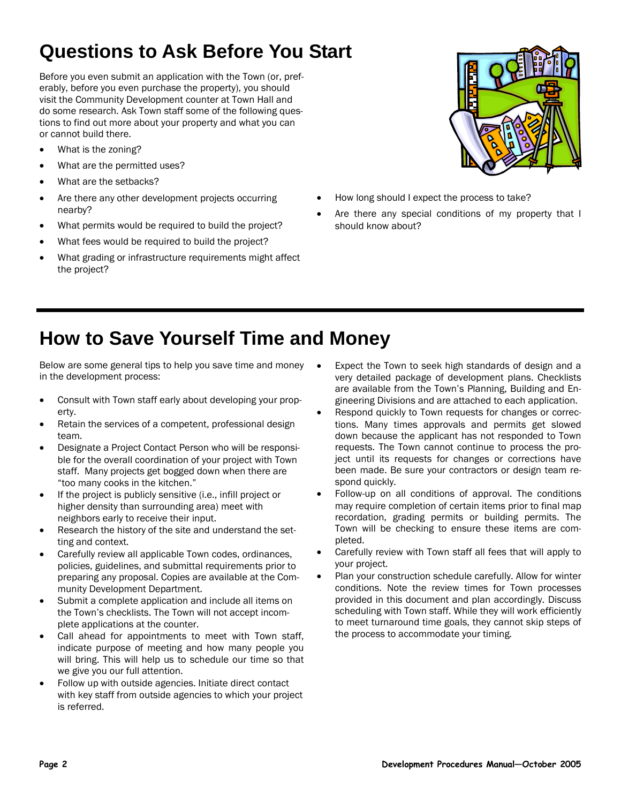# **Questions to Ask Before You Start**

Before you even submit an application with the Town (or, preferably, before you even purchase the property), you should visit the Community Development counter at Town Hall and do some research. Ask Town staff some of the following questions to find out more about your property and what you can or cannot build there.

- What is the zoning?
- What are the permitted uses?
- What are the setbacks?
- Are there any other development projects occurring nearby?
- What permits would be required to build the project?
- What fees would be required to build the project?
- What grading or infrastructure requirements might affect the project?



- How long should I expect the process to take?
- Are there any special conditions of my property that I should know about?

# **How to Save Yourself Time and Money**

Below are some general tips to help you save time and money in the development process:

- Consult with Town staff early about developing your property.
- Retain the services of a competent, professional design team.
- Designate a Project Contact Person who will be responsible for the overall coordination of your project with Town staff. Many projects get bogged down when there are "too many cooks in the kitchen."
- If the project is publicly sensitive (i.e., infill project or higher density than surrounding area) meet with neighbors early to receive their input.
- Research the history of the site and understand the setting and context.
- Carefully review all applicable Town codes, ordinances, policies, guidelines, and submittal requirements prior to preparing any proposal. Copies are available at the Community Development Department.
- Submit a complete application and include all items on the Town's checklists. The Town will not accept incomplete applications at the counter.
- Call ahead for appointments to meet with Town staff, indicate purpose of meeting and how many people you will bring. This will help us to schedule our time so that we give you our full attention.
- Follow up with outside agencies. Initiate direct contact with key staff from outside agencies to which your project is referred.
- Expect the Town to seek high standards of design and a very detailed package of development plans. Checklists are available from the Town's Planning, Building and Engineering Divisions and are attached to each application.
- Respond quickly to Town requests for changes or corrections. Many times approvals and permits get slowed down because the applicant has not responded to Town requests. The Town cannot continue to process the project until its requests for changes or corrections have been made. Be sure your contractors or design team respond quickly.
- Follow-up on all conditions of approval. The conditions may require completion of certain items prior to final map recordation, grading permits or building permits. The Town will be checking to ensure these items are completed.
- Carefully review with Town staff all fees that will apply to your project.
- Plan your construction schedule carefully. Allow for winter conditions. Note the review times for Town processes provided in this document and plan accordingly. Discuss scheduling with Town staff. While they will work efficiently to meet turnaround time goals, they cannot skip steps of the process to accommodate your timing.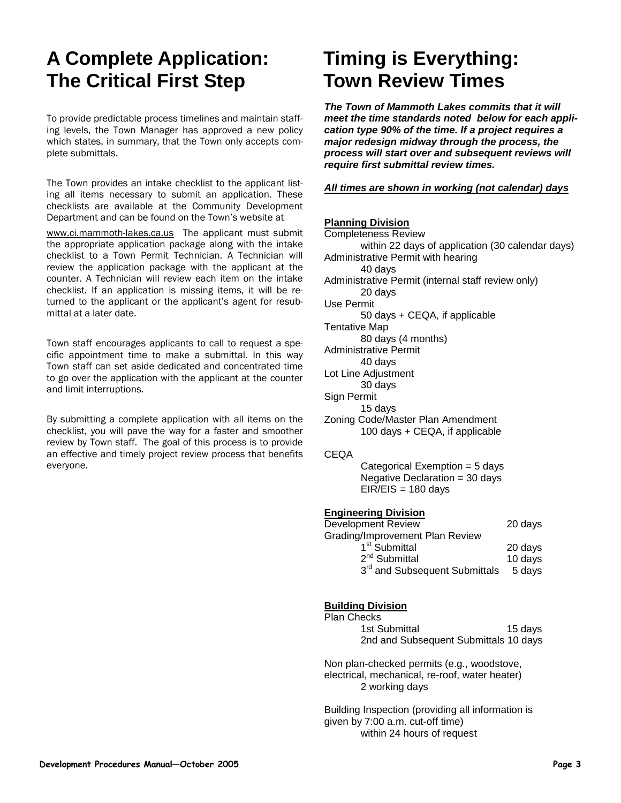# **A Complete Application: The Critical First Step**

To provide predictable process timelines and maintain staffing levels, the Town Manager has approved a new policy which states, in summary, that the Town only accepts complete submittals.

The Town provides an intake checklist to the applicant listing all items necessary to submit an application. These checklists are available at the Community Development Department and can be found on the Town's website at

www.ci.mammoth-lakes.ca.us The applicant must submit the appropriate application package along with the intake checklist to a Town Permit Technician. A Technician will review the application package with the applicant at the counter. A Technician will review each item on the intake checklist. If an application is missing items, it will be returned to the applicant or the applicant's agent for resubmittal at a later date.

Town staff encourages applicants to call to request a specific appointment time to make a submittal. In this way Town staff can set aside dedicated and concentrated time to go over the application with the applicant at the counter and limit interruptions.

By submitting a complete application with all items on the checklist, you will pave the way for a faster and smoother review by Town staff. The goal of this process is to provide an effective and timely project review process that benefits everyone.

# **Timing is Everything: Town Review Times**

*The Town of Mammoth Lakes commits that it will meet the time standards noted below for each application type 90% of the time. If a project requires a major redesign midway through the process, the process will start over and subsequent reviews will require first submittal review times.* 

#### *All times are shown in working (not calendar) days*

### **Planning Division**

| <u>Fianning Division</u><br><b>Completeness Review</b> |         |  |
|--------------------------------------------------------|---------|--|
| within 22 days of application (30 calendar days)       |         |  |
| Administrative Permit with hearing                     |         |  |
| 40 days                                                |         |  |
| Administrative Permit (internal staff review only)     |         |  |
| 20 days                                                |         |  |
| Use Permit                                             |         |  |
| 50 days + CEQA, if applicable                          |         |  |
| <b>Tentative Map</b>                                   |         |  |
| 80 days (4 months)                                     |         |  |
| <b>Administrative Permit</b>                           |         |  |
| 40 days                                                |         |  |
| Lot Line Adjustment                                    |         |  |
| 30 days                                                |         |  |
| Sign Permit                                            |         |  |
| 15 days<br>Zoning Code/Master Plan Amendment           |         |  |
| 100 days + CEQA, if applicable                         |         |  |
|                                                        |         |  |
| <b>CEQA</b>                                            |         |  |
| Categorical Exemption = 5 days                         |         |  |
| Negative Declaration $=$ 30 days                       |         |  |
| $EIR/EIS = 180$ days                                   |         |  |
|                                                        |         |  |
| <b>Engineering Division</b>                            |         |  |
| <b>Development Review</b>                              | 20 days |  |
| Grading/Improvement Plan Review                        |         |  |
| 1 <sup>st</sup> Submittal                              | 20 days |  |
| 2 <sup>nd</sup> Submittal                              | 10 days |  |
| 3 <sup>rd</sup> and Subsequent Submittals              | 5 days  |  |
|                                                        |         |  |
|                                                        |         |  |

#### **Building Division**

| Plan Checks                           |         |
|---------------------------------------|---------|
| 1st Submittal                         | 15 davs |
| 2nd and Subsequent Submittals 10 days |         |

Non plan-checked permits (e.g., woodstove, electrical, mechanical, re-roof, water heater) 2 working days

Building Inspection (providing all information is given by 7:00 a.m. cut-off time) within 24 hours of request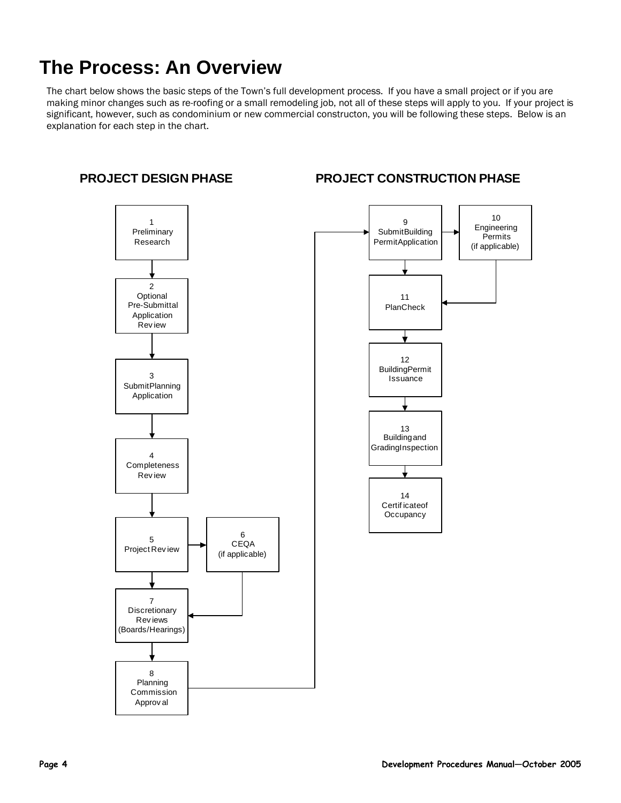# **The Process: An Overview**

The chart below shows the basic steps of the Town's full development process. If you have a small project or if you are making minor changes such as re-roofing or a small remodeling job, not all of these steps will apply to you. If your project is significant, however, such as condominium or new commercial constructon, you will be following these steps. Below is an explanation for each step in the chart.



### **PROJECT DESIGN PHASE**

### **PROJECT CONSTRUCTION PHASE**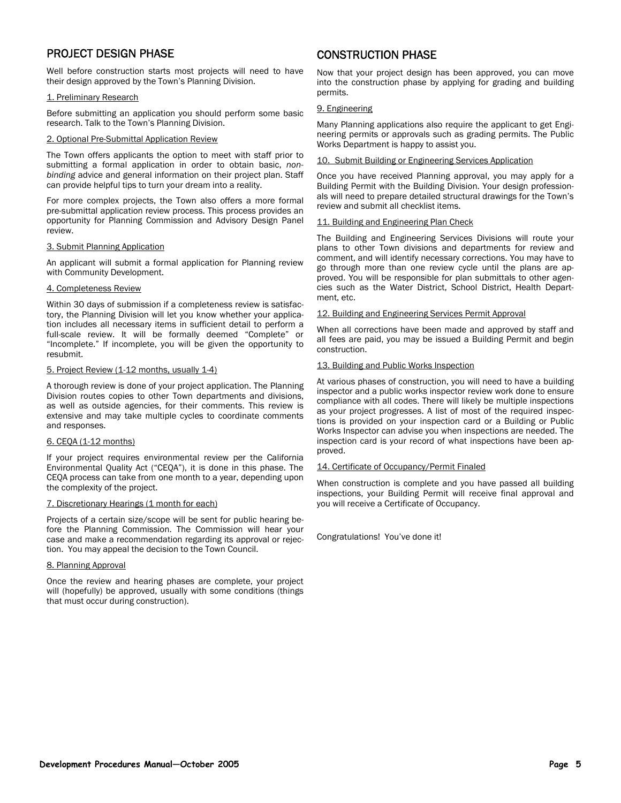### PROJECT DESIGN PHASE

Well before construction starts most projects will need to have their design approved by the Town's Planning Division.

#### 1. Preliminary Research

Before submitting an application you should perform some basic research. Talk to the Town's Planning Division.

#### 2. Optional Pre-Submittal Application Review

The Town offers applicants the option to meet with staff prior to submitting a formal application in order to obtain basic, *nonbinding* advice and general information on their project plan. Staff can provide helpful tips to turn your dream into a reality.

For more complex projects, the Town also offers a more formal pre-submittal application review process. This process provides an opportunity for Planning Commission and Advisory Design Panel review.

#### 3. Submit Planning Application

An applicant will submit a formal application for Planning review with Community Development.

#### 4. Completeness Review

Within 30 days of submission if a completeness review is satisfactory, the Planning Division will let you know whether your application includes all necessary items in sufficient detail to perform a full-scale review. It will be formally deemed "Complete" or "Incomplete." If incomplete, you will be given the opportunity to resubmit.

#### 5. Project Review (1-12 months, usually 1-4)

A thorough review is done of your project application. The Planning Division routes copies to other Town departments and divisions, as well as outside agencies, for their comments. This review is extensive and may take multiple cycles to coordinate comments and responses.

#### 6. CEQA (1-12 months)

If your project requires environmental review per the California Environmental Quality Act ("CEQA"), it is done in this phase. The CEQA process can take from one month to a year, depending upon the complexity of the project.

#### 7. Discretionary Hearings (1 month for each)

Projects of a certain size/scope will be sent for public hearing before the Planning Commission. The Commission will hear your case and make a recommendation regarding its approval or rejection. You may appeal the decision to the Town Council.

#### 8. Planning Approval

Once the review and hearing phases are complete, your project will (hopefully) be approved, usually with some conditions (things that must occur during construction).

### CONSTRUCTION PHASE

Now that your project design has been approved, you can move into the construction phase by applying for grading and building permits.

#### 9. Engineering

Many Planning applications also require the applicant to get Engineering permits or approvals such as grading permits. The Public Works Department is happy to assist you.

#### 10. Submit Building or Engineering Services Application

Once you have received Planning approval, you may apply for a Building Permit with the Building Division. Your design professionals will need to prepare detailed structural drawings for the Town's review and submit all checklist items.

#### 11. Building and Engineering Plan Check

The Building and Engineering Services Divisions will route your plans to other Town divisions and departments for review and comment, and will identify necessary corrections. You may have to go through more than one review cycle until the plans are approved. You will be responsible for plan submittals to other agencies such as the Water District, School District, Health Department, etc.

#### 12. Building and Engineering Services Permit Approval

When all corrections have been made and approved by staff and all fees are paid, you may be issued a Building Permit and begin construction.

#### 13. Building and Public Works Inspection

At various phases of construction, you will need to have a building inspector and a public works inspector review work done to ensure compliance with all codes. There will likely be multiple inspections as your project progresses. A list of most of the required inspections is provided on your inspection card or a Building or Public Works Inspector can advise you when inspections are needed. The inspection card is your record of what inspections have been approved.

#### 14. Certificate of Occupancy/Permit Finaled

When construction is complete and you have passed all building inspections, your Building Permit will receive final approval and you will receive a Certificate of Occupancy.

Congratulations! You've done it!